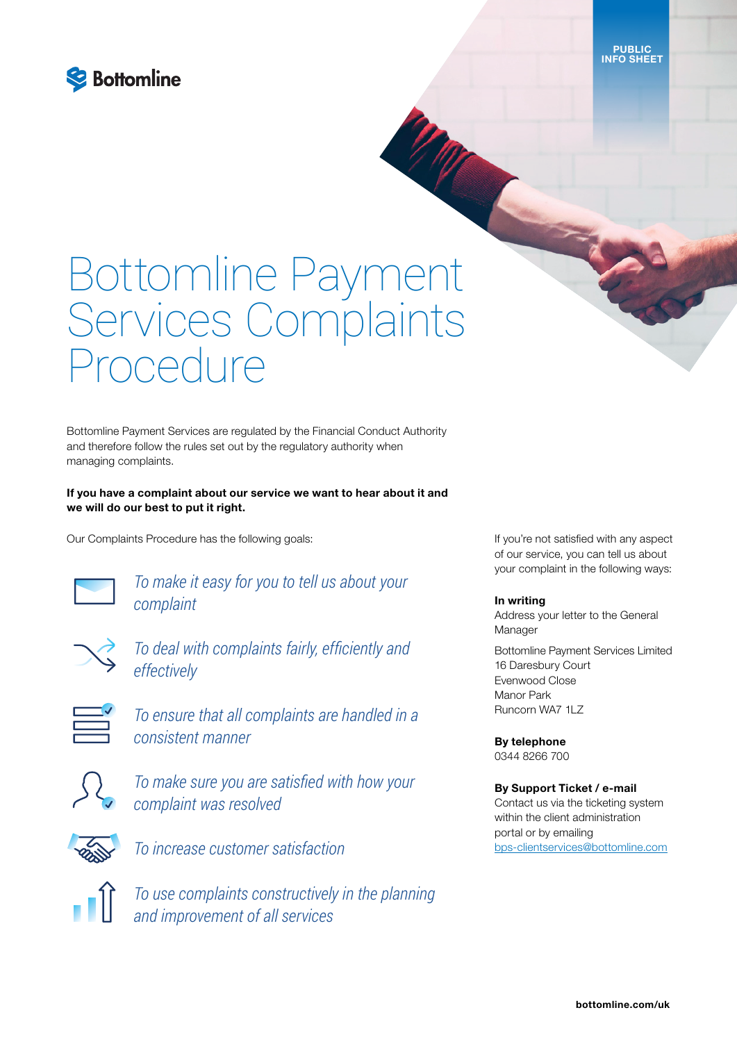

# Bottomline Payment Services Complaints Procedure

Bottomline Payment Services are regulated by the Financial Conduct Authority and therefore follow the rules set out by the regulatory authority when managing complaints.

If you have a complaint about our service we want to hear about it and we will do our best to put it right.

Our Complaints Procedure has the following goals:



*To make it easy for you to tell us about your complaint*



*To deal with complaints fairly, efficiently and effectively*





*To make sure you are satisfied with how your complaint was resolved*



*To increase customer satisfaction*

*To use complaints constructively in the planning and improvement of all services*

If you're not satisfied with any aspect of our service, you can tell us about your complaint in the following ways:

#### In writing

march

Address your letter to the General Manager

Bottomline Payment Services Limited 16 Daresbury Court Evenwood Close Manor Park Runcorn WA7 1LZ

By telephone 0344 8266 700

#### By Support Ticket / e-mail

Contact us via the ticketing system within the client administration portal or by emailing [bps-clientservices@bottomline.com](mailto:bps-clientservices%40bottomline.com?subject=)